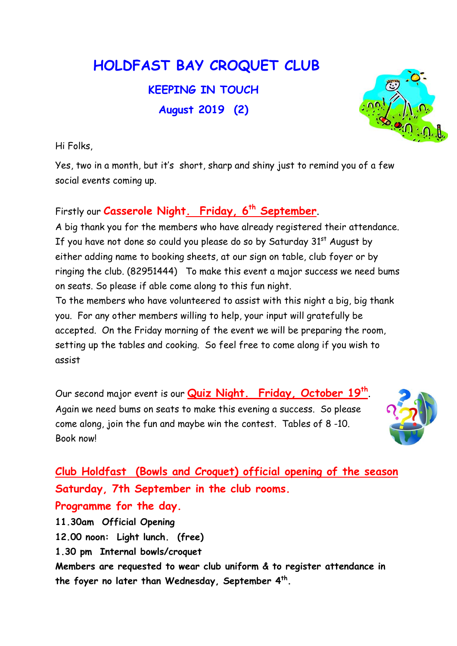## HOLDFAST BAY CROQUET CLUB

KEEPING IN TOUCH August 2019 (2)

Hi Folks,

Yes, two in a month, but it's short, sharp and shiny just to remind you of a few social events coming up.

## Firstly our Casserole Night. Friday, 6<sup>th</sup> September.

A big thank you for the members who have already registered their attendance. If you have not done so could you please do so by Saturday  $31<sup>st</sup>$  August by either adding name to booking sheets, at our sign on table, club foyer or by ringing the club. (82951444) To make this event a major success we need bums on seats. So please if able come along to this fun night.

To the members who have volunteered to assist with this night a big, big thank you. For any other members willing to help, your input will gratefully be accepted. On the Friday morning of the event we will be preparing the room, setting up the tables and cooking. So feel free to come along if you wish to assist

Our second major event is our **Quiz Night. Friday, October 19<sup>th</sup>.** Again we need bums on seats to make this evening a success. So please come along, join the fun and maybe win the contest. Tables of 8 -10. Book now!



Club Holdfast (Bowls and Croquet) official opening of the season Saturday, 7th September in the club rooms. Programme for the day. 11.30am Official Opening 12.00 noon: Light lunch. (free) 1.30 pm Internal bowls/croquet Members are requested to wear club uniform & to register attendance in the foyer no later than Wednesday, September  $4^{\text{th}}$ .